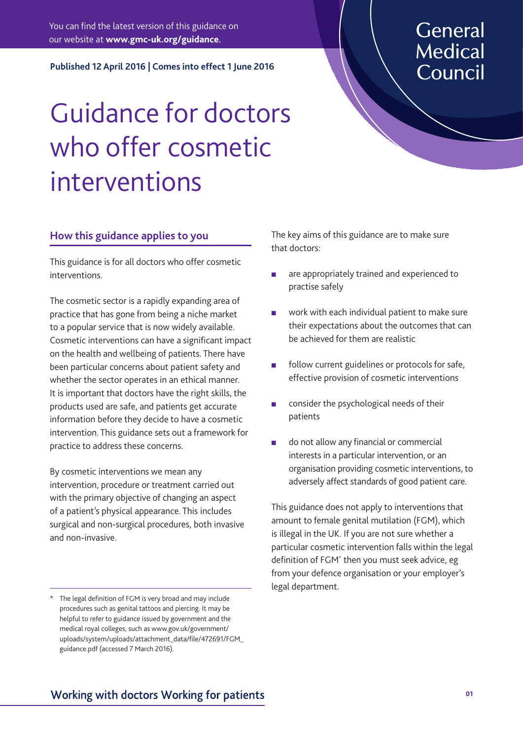You can find the latest version of this guidance on our website at **[www.gmc-uk.org/guidance](http://www.gmc-uk.org/guidance).**

**Published 12 April 2016 | Comes into effect 1 June 2016**

# Guidance for doctors who offer cosmetic interventions

# **How this guidance applies to you**

This guidance is for all doctors who offer cosmetic interventions.

The cosmetic sector is a rapidly expanding area of practice that has gone from being a niche market to a popular service that is now widely available. Cosmetic interventions can have a significant impact on the health and wellbeing of patients. There have been particular concerns about patient safety and whether the sector operates in an ethical manner. It is important that doctors have the right skills, the products used are safe, and patients get accurate information before they decide to have a cosmetic intervention. This guidance sets out a framework for practice to address these concerns.

By cosmetic interventions we mean any intervention, procedure or treatment carried out with the primary objective of changing an aspect of a patient's physical appearance. This includes surgical and non-surgical procedures, both invasive and non-invasive.

# The key aims of this guidance are to make sure that doctors:

- are appropriately trained and experienced to practise safely
- work with each individual patient to make sure their expectations about the outcomes that can be achieved for them are realistic
- follow current guidelines or protocols for safe, effective provision of cosmetic interventions
- consider the psychological needs of their patients
- do not allow any financial or commercial interests in a particular intervention, or an organisation providing cosmetic interventions, to adversely affect standards of good patient care.

This guidance does not apply to interventions that amount to female genital mutilation (FGM), which is illegal in the UK. If you are not sure whether a particular cosmetic intervention falls within the legal definition of FGM\* then you must seek advice, eg from your defence organisation or your employer's legal department.

# Working with doctors Working for patients

# General **Medical** Council

The legal definition of FGM is very broad and may include procedures such as genital tattoos and piercing. It may be helpful to refer to guidance issued by government and the medical royal colleges, such as [www.gov.uk/government/](http://www.gov.uk/government/uploads/system/uploads/attachment_data/file/472691/FGM_guidance.pdf) [uploads/system/uploads/attachment\\_data/file/472691/FGM\\_](http://www.gov.uk/government/uploads/system/uploads/attachment_data/file/472691/FGM_guidance.pdf) [guidance.pdf](http://www.gov.uk/government/uploads/system/uploads/attachment_data/file/472691/FGM_guidance.pdf) (accessed 7 March 2016).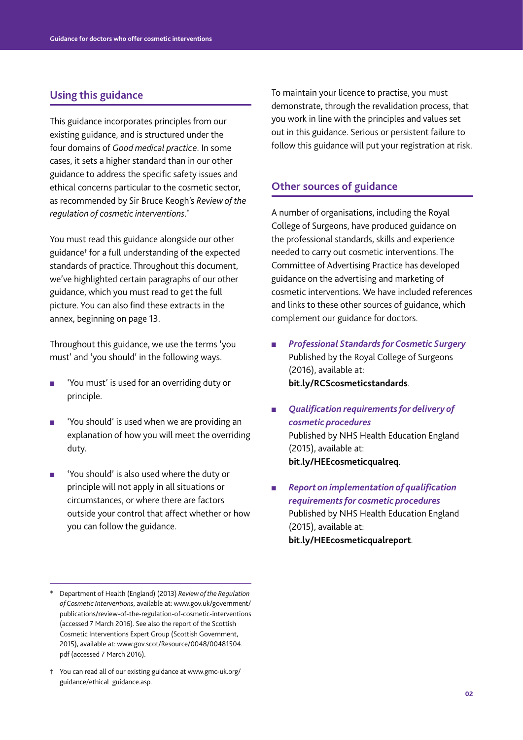# **Using this guidance**

This guidance incorporates principles from our existing guidance, and is structured under the four domains of *Good medical practice*. In some cases, it sets a higher standard than in our other guidance to address the specific safety issues and ethical concerns particular to the cosmetic sector, as recommended by Sir Bruce Keogh's *Review of the regulation of cosmetic interventions*. \*

You must read this guidance alongside our other guidance† for a full understanding of the expected standards of practice. Throughout this document, we've highlighted certain paragraphs of our other guidance, which you must read to get the full picture. You can also find these extracts in the annex, beginning on page 13.

Throughout this guidance, we use the terms 'you must' and 'you should' in the following ways.

- 'You must' is used for an overriding duty or principle.
- 'You should' is used when we are providing an explanation of how you will meet the overriding duty.
- 'You should' is also used where the duty or principle will not apply in all situations or circumstances, or where there are factors outside your control that affect whether or how you can follow the guidance.

To maintain your licence to practise, you must demonstrate, through the revalidation process, that you work in line with the principles and values set out in this guidance. Serious or persistent failure to follow this guidance will put your registration at risk.

# **Other sources of guidance**

A number of organisations, including the Royal College of Surgeons, have produced guidance on the professional standards, skills and experience needed to carry out cosmetic interventions. The Committee of Advertising Practice has developed guidance on the advertising and marketing of cosmetic interventions. We have included references and links to these other sources of guidance, which complement our guidance for doctors.

- **Professional Standards for Cosmetic Surgery** Published by the Royal College of Surgeons (2016), available at: **[bit.ly/RCScosmeticstandards](http://bit.ly/RCScosmeticstandards)**.
- *Qualification requirements for delivery of cosmetic procedures* Published by NHS Health Education England (2015), available at: **[bit.ly/HEEcosmeticqualreq](http://www.hee.nhs.uk/sites/default/files/documents/HEE%20Cosmetic%20publication%20part%20one%20update%20v1%20final%20version.pdf)**.
- *Report on implementation of qualification requirements for cosmetic procedures*  Published by NHS Health Education England (2015), available at: **[bit.ly/HEEcosmeticqualreport](http://www.hee.nhs.uk/sites/default/files/documents/HEE%20Cosmetic%20publication%20part%20two%20update%20v1%20final%20version.pdf)**.

<sup>\*</sup> Department of Health (England) (2013) *Review of the Regulation of Cosmetic Interventions*, available at: [www.gov.uk/government/](https://www.gov.uk/government/publications/review-of-the-regulation-of-cosmetic-interventions) [publications/review-of-the-regulation-of-cosmetic-interventions](https://www.gov.uk/government/publications/review-of-the-regulation-of-cosmetic-interventions) (accessed 7 March 2016). See also the report of the Scottish Cosmetic Interventions Expert Group (Scottish Government, 2015), available at: [www.gov.scot/Resource/0048/00481504.](http://www.gov.scot/Resource/0048/00481504.pdf) [pdf](http://www.gov.scot/Resource/0048/00481504.pdf) (accessed 7 March 2016).

<sup>†</sup> You can read all of our existing guidance at [www.gmc-uk.org/](http://www.gmc-uk.org/guidance/ethical_guidance.asp) [guidance/ethical\\_guidance.asp](http://www.gmc-uk.org/guidance/ethical_guidance.asp).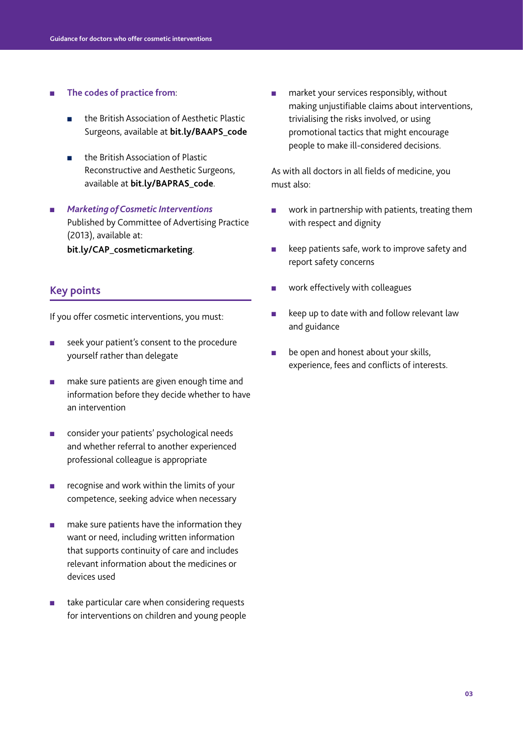- **The codes of practice from:** 
	- the British Association of Aesthetic Plastic Surgeons, available at **[bit.ly/BAAPS\\_code](http://www.baaps.org.uk/baapsmedia/docs/code_of_conduct.pdf)**
	- the British Association of Plastic Reconstructive and Aesthetic Surgeons, available at **[bit.ly/BAPRAS\\_code](http://www.bapras.org.uk/docs/default-source/BAPRAS-Position-Statements/code_of_practice_2013_v4.pdf)**.
- *Marketing of Cosmetic Interventions*  Published by Committee of Advertising Practice (2013), available at:

**[bit.ly/CAP\\_cosmeticmarketing](http://www.cap.org.uk/~/media/Files/CAP/Help%20notes%20new/CosmeticSurgeryMarketingHelpNote.ashx)**.

# **Key points**

If you offer cosmetic interventions, you must:

- seek your patient's consent to the procedure yourself rather than delegate
- make sure patients are given enough time and information before they decide whether to have an intervention
- consider your patients' psychological needs and whether referral to another experienced professional colleague is appropriate
- recognise and work within the limits of your competence, seeking advice when necessary
- make sure patients have the information they want or need, including written information that supports continuity of care and includes relevant information about the medicines or devices used
- take particular care when considering requests for interventions on children and young people

market your services responsibly, without making unjustifiable claims about interventions, trivialising the risks involved, or using promotional tactics that might encourage people to make ill-considered decisions.

As with all doctors in all fields of medicine, you must also:

- work in partnership with patients, treating them with respect and dignity
- keep patients safe, work to improve safety and report safety concerns
- work effectively with colleagues
- keep up to date with and follow relevant law and guidance
- be open and honest about your skills, experience, fees and conflicts of interests.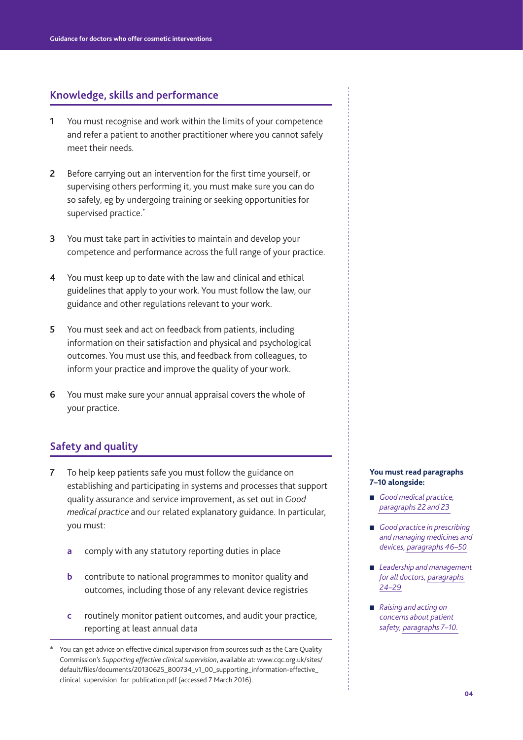# **Knowledge, skills and performance**

- **1** You must recognise and work within the limits of your competence and refer a patient to another practitioner where you cannot safely meet their needs.
- **2** Before carrying out an intervention for the first time yourself, or supervising others performing it, you must make sure you can do so safely, eg by undergoing training or seeking opportunities for supervised practice.<sup>\*</sup>
- **3** You must take part in activities to maintain and develop your competence and performance across the full range of your practice.
- **4** You must keep up to date with the law and clinical and ethical guidelines that apply to your work. You must follow the law, our guidance and other regulations relevant to your work.
- **5** You must seek and act on feedback from patients, including information on their satisfaction and physical and psychological outcomes. You must use this, and feedback from colleagues, to inform your practice and improve the quality of your work.
- **6** You must make sure your annual appraisal covers the whole of your practice.

# **Safety and quality**

- **7** To help keep patients safe you must follow the guidance on establishing and participating in systems and processes that support quality assurance and service improvement, as set out in *Good medical practice* and our related explanatory guidance. In particular, you must:
	- **a** comply with any statutory reporting duties in place
	- **b** contribute to national programmes to monitor quality and outcomes, including those of any relevant device registries
	- **c** routinely monitor patient outcomes, and audit your practice, reporting at least annual data

#### **You must read paragraphs 7–10 alongside:**

- *Good medical practice*, *[paragraphs 22 and 23](http://www.gmc-uk.org/static/documents/content/GMP_.pdf#page=12)*
- *Good practice in prescribing [and managing medicines and](http://www.gmc-uk.org/static/documents/content/Prescribing_guidance.pdf#page=7)  [devices, paragraphs 46–50](http://www.gmc-uk.org/static/documents/content/Prescribing_guidance.pdf#page=7)*
- *[Leadership and management](http://www.gmc-uk.org/static/documents/content/Leadership_and_management_for_all_doctors_-_English_1015.pdf#page=18)  [for all doctors, paragraphs](http://www.gmc-uk.org/static/documents/content/Leadership_and_management_for_all_doctors_-_English_1015.pdf#page=18)  [24–29](http://www.gmc-uk.org/static/documents/content/Leadership_and_management_for_all_doctors_-_English_1015.pdf#page=18)*
- *[Raising and acting on](http://www.gmc-uk.org/static/documents/content/Raising_and_acting_on_concerns_about_patient_safety_-_English_1015.pdf#page=9)  [concerns about patient](http://www.gmc-uk.org/static/documents/content/Raising_and_acting_on_concerns_about_patient_safety_-_English_1015.pdf#page=9)  [safety, paragraphs 7–10.](http://www.gmc-uk.org/static/documents/content/Raising_and_acting_on_concerns_about_patient_safety_-_English_1015.pdf#page=9)*

You can get advice on effective clinical supervision from sources such as the Care Quality Commission's *Supporting effective clinical supervision*, available at: [www.cqc.org.uk/sites/](http://www.cqc.org.uk/sites/default/files/documents/20130625_800734_v1_00_supporting_information-effective_clinical_supervision_for_publication.pdf) [default/files/documents/20130625\\_800734\\_v1\\_00\\_supporting\\_information-effective\\_](http://www.cqc.org.uk/sites/default/files/documents/20130625_800734_v1_00_supporting_information-effective_clinical_supervision_for_publication.pdf) [clinical\\_supervision\\_for\\_publication.pdf](http://www.cqc.org.uk/sites/default/files/documents/20130625_800734_v1_00_supporting_information-effective_clinical_supervision_for_publication.pdf) (accessed 7 March 2016).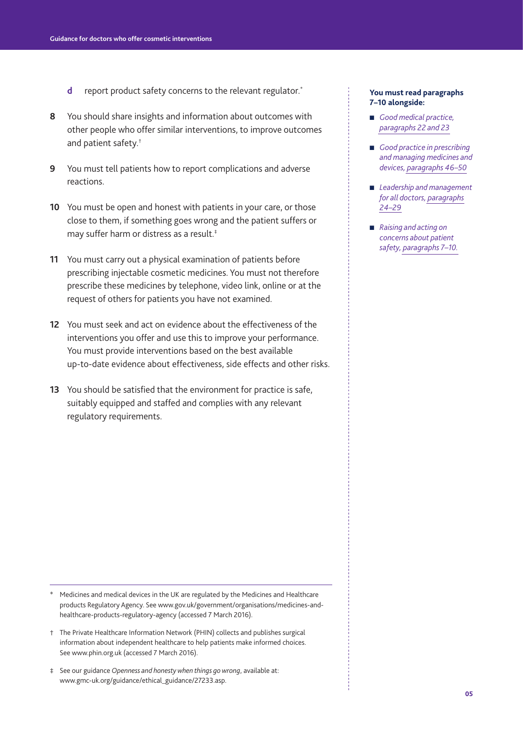- **d** report product safety concerns to the relevant regulator.<sup>\*</sup>
- **8** You should share insights and information about outcomes with other people who offer similar interventions, to improve outcomes and patient safety.†
- **9** You must tell patients how to report complications and adverse reactions.
- **10** You must be open and honest with patients in your care, or those close to them, if something goes wrong and the patient suffers or may suffer harm or distress as a result.‡
- **11** You must carry out a physical examination of patients before prescribing injectable cosmetic medicines. You must not therefore prescribe these medicines by telephone, video link, online or at the request of others for patients you have not examined.
- **12** You must seek and act on evidence about the effectiveness of the interventions you offer and use this to improve your performance. You must provide interventions based on the best available up-to-date evidence about effectiveness, side effects and other risks.
- **13** You should be satisfied that the environment for practice is safe, suitably equipped and staffed and complies with any relevant regulatory requirements.

\* Medicines and medical devices in the UK are regulated by the Medicines and Healthcare products Regulatory Agency. See www.gov.uk/government/organisations/medicines-andhealthcare-products-regulatory-agency (accessed 7 March 2016).

- † The Private Healthcare Information Network (PHIN) collects and publishes surgical information about independent healthcare to help patients make informed choices. See [www.phin.org.uk](http://www.phin.org.uk) (accessed 7 March 2016).
- ‡ See our guidance *Openness and honesty when things go wrong*, available at: w[ww.gmc-uk.org/guidance/ethical\\_guidance/27233.asp](http://ww.gmc-uk.org/guidance/ethical_guidance/27233.asp).

#### **You must read paragraphs 7–10 alongside:**

- *Good medical practice*, *[paragraphs 22 and 23](http://www.gmc-uk.org/static/documents/content/GMP_.pdf#page=12)*
- *Good practice in prescribing [and managing medicines and](http://www.gmc-uk.org/static/documents/content/Prescribing_guidance.pdf#page=7)  [devices, paragraphs 46–50](http://www.gmc-uk.org/static/documents/content/Prescribing_guidance.pdf#page=7)*
- *[Leadership and management](http://www.gmc-uk.org/static/documents/content/Leadership_and_management_for_all_doctors_-_English_1015.pdf#page=18)  [for all doctors, paragraphs](http://www.gmc-uk.org/static/documents/content/Leadership_and_management_for_all_doctors_-_English_1015.pdf#page=18)  [24–29](http://www.gmc-uk.org/static/documents/content/Leadership_and_management_for_all_doctors_-_English_1015.pdf#page=18)*
- *Raising and acting on [concerns about patient](http://www.gmc-uk.org/static/documents/content/Raising_and_acting_on_concerns_about_patient_safety_-_English_1015.pdf#page=9)  [safety, paragraphs 7–10.](http://www.gmc-uk.org/static/documents/content/Raising_and_acting_on_concerns_about_patient_safety_-_English_1015.pdf#page=9)*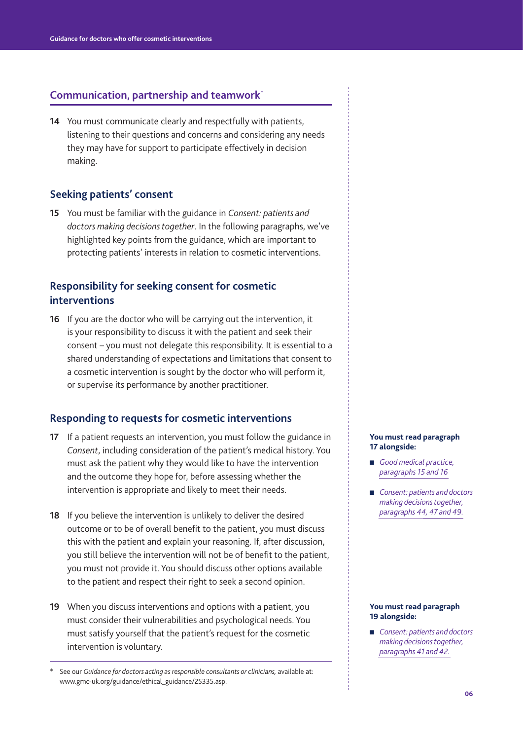# **Communication, partnership and teamwork**\*

**14** You must communicate clearly and respectfully with patients, listening to their questions and concerns and considering any needs they may have for support to participate effectively in decision making.

# **Seeking patients' consent**

**15** You must be familiar with the guidance in *Consent: patients and doctors making decisions together*. In the following paragraphs, we've highlighted key points from the guidance, which are important to protecting patients' interests in relation to cosmetic interventions.

# **Responsibility for seeking consent for cosmetic interventions**

**16** If you are the doctor who will be carrying out the intervention, it is your responsibility to discuss it with the patient and seek their consent – you must not delegate this responsibility. It is essential to a shared understanding of expectations and limitations that consent to a cosmetic intervention is sought by the doctor who will perform it, or supervise its performance by another practitioner.

# **Responding to requests for cosmetic interventions**

- **17** If a patient requests an intervention, you must follow the guidance in *Consent*, including consideration of the patient's medical history. You must ask the patient why they would like to have the intervention and the outcome they hope for, before assessing whether the intervention is appropriate and likely to meet their needs.
- **18** If you believe the intervention is unlikely to deliver the desired outcome or to be of overall benefit to the patient, you must discuss this with the patient and explain your reasoning. If, after discussion, you still believe the intervention will not be of benefit to the patient, you must not provide it. You should discuss other options available to the patient and respect their right to seek a second opinion.
- **19** When you discuss interventions and options with a patient, you must consider their vulnerabilities and psychological needs. You must satisfy yourself that the patient's request for the cosmetic intervention is voluntary.

#### **You must read paragraph 17 alongside:**

- *Good medical practice*, *[paragraphs 15 and 16](http://www.gmc-uk.org/static/documents/content/GMP_.pdf#page=9)*
- *[Consent: patients and doctors](http://www.gmc-uk.org/static/documents/content/Consent_-_English_1015.pdf#page=22)  [making decisions together,](http://www.gmc-uk.org/static/documents/content/Consent_-_English_1015.pdf#page=22)  [paragraphs 44, 47 and 49.](http://www.gmc-uk.org/static/documents/content/Consent_-_English_1015.pdf#page=22)*

#### **You must read paragraph 19 alongside:**

■ *[Consent: patients and doctors](http://www.gmc-uk.org/static/documents/content/Consent_-_English_1015.pdf#page=21)  [making decisions together,](http://www.gmc-uk.org/static/documents/content/Consent_-_English_1015.pdf#page=21)  [paragraphs 41 and 42](http://www.gmc-uk.org/static/documents/content/Consent_-_English_1015.pdf#page=21).*

<sup>\*</sup> See our *Guidance for doctors acting as responsible consultants or clinicians,* available at: [www.gmc-uk.org/guidance/ethical\\_guidance/25335.asp.](http://www.gmc-uk.org/guidance/ethical_guidance/25335.asp)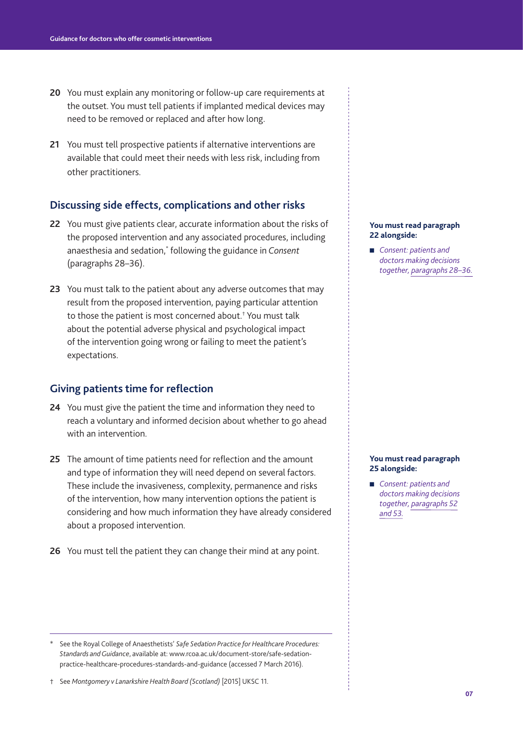- **20** You must explain any monitoring or follow-up care requirements at the outset. You must tell patients if implanted medical devices may need to be removed or replaced and after how long.
- **21** You must tell prospective patients if alternative interventions are available that could meet their needs with less risk, including from other practitioners.

# **Discussing side effects, complications and other risks**

- **22** You must give patients clear, accurate information about the risks of the proposed intervention and any associated procedures, including anaesthesia and sedation,\* following the guidance in *Consent* (paragraphs 28–36).
- **23** You must talk to the patient about any adverse outcomes that may result from the proposed intervention, paying particular attention to those the patient is most concerned about.† You must talk about the potential adverse physical and psychological impact of the intervention going wrong or failing to meet the patient's expectations.

# **Giving patients time for reflection**

- **24** You must give the patient the time and information they need to reach a voluntary and informed decision about whether to go ahead with an intervention.
- **25** The amount of time patients need for reflection and the amount and type of information they will need depend on several factors. These include the invasiveness, complexity, permanence and risks of the intervention, how many intervention options the patient is considering and how much information they have already considered about a proposed intervention.
- **26** You must tell the patient they can change their mind at any point.

#### **You must read paragraph 22 alongside:**

■ *Consent: patients and [doctors making decisions](http://www.gmc-uk.org/static/documents/content/Consent_-_English_1015.pdf#page=18)  [together, paragraphs 28–36.](http://www.gmc-uk.org/static/documents/content/Consent_-_English_1015.pdf#page=18)*

#### **You must read paragraph 25 alongside:**

■ *Consent: patients and [doctors making decisions](http://www.gmc-uk.org/static/documents/content/Consent_-_English_1015.pdf#page=24)  [together, paragraphs 52](http://www.gmc-uk.org/static/documents/content/Consent_-_English_1015.pdf#page=24)  [and 53.](http://www.gmc-uk.org/static/documents/content/Consent_-_English_1015.pdf#page=24)*

<sup>\*</sup> See the Royal College of Anaesthetists' *Safe Sedation Practice for Healthcare Procedures: Standards and Guidance*, available at: [www.rcoa.ac.uk/document-store/safe-sedation](http://www.rcoa.ac.uk/document-store/safe-sedation-practice-healthcare-procedures-standards-and-guidance)[practice-healthcare-procedures-standards-and-guidance](http://www.rcoa.ac.uk/document-store/safe-sedation-practice-healthcare-procedures-standards-and-guidance) (accessed 7 March 2016).

<sup>†</sup> See *Montgomery v Lanarkshire Health Board (Scotland)* [2015] UKSC 11.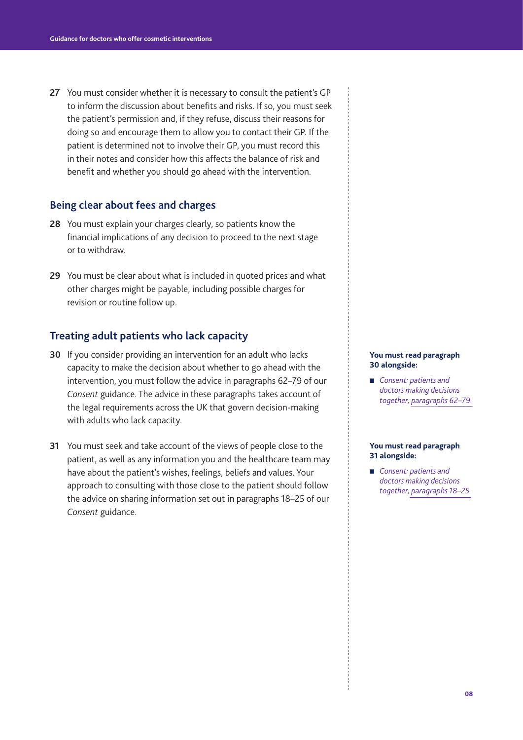**27** You must consider whether it is necessary to consult the patient's GP to inform the discussion about benefits and risks. If so, you must seek the patient's permission and, if they refuse, discuss their reasons for doing so and encourage them to allow you to contact their GP. If the patient is determined not to involve their GP, you must record this in their notes and consider how this affects the balance of risk and benefit and whether you should go ahead with the intervention.

### **Being clear about fees and charges**

- **28** You must explain your charges clearly, so patients know the financial implications of any decision to proceed to the next stage or to withdraw.
- **29** You must be clear about what is included in quoted prices and what other charges might be payable, including possible charges for revision or routine follow up.

## **Treating adult patients who lack capacity**

- **30** If you consider providing an intervention for an adult who lacks capacity to make the decision about whether to go ahead with the intervention, you must follow the advice in paragraphs 62–79 of our *Consent* guidance. The advice in these paragraphs takes account of the legal requirements across the UK that govern decision-making with adults who lack capacity.
- **31** You must seek and take account of the views of people close to the patient, as well as any information you and the healthcare team may have about the patient's wishes, feelings, beliefs and values. Your approach to consulting with those close to the patient should follow the advice on sharing information set out in paragraphs 18–25 of our *Consent* guidance.

#### **You must read paragraph 30 alongside:**

■ *Consent: patients and [doctors making decisions](http://www.gmc-uk.org/static/documents/content/Consent_-_English_1015.pdf#page=28)  [together, paragraphs 62–79.](http://www.gmc-uk.org/static/documents/content/Consent_-_English_1015.pdf#page=28)*

#### **You must read paragraph 31 alongside:**

■ *Consent: patients and [doctors making decisions](http://www.gmc-uk.org/static/documents/content/Consent_-_English_1015.pdf#page=14)  [together, paragraphs 18–25.](http://www.gmc-uk.org/static/documents/content/Consent_-_English_1015.pdf#page=14)*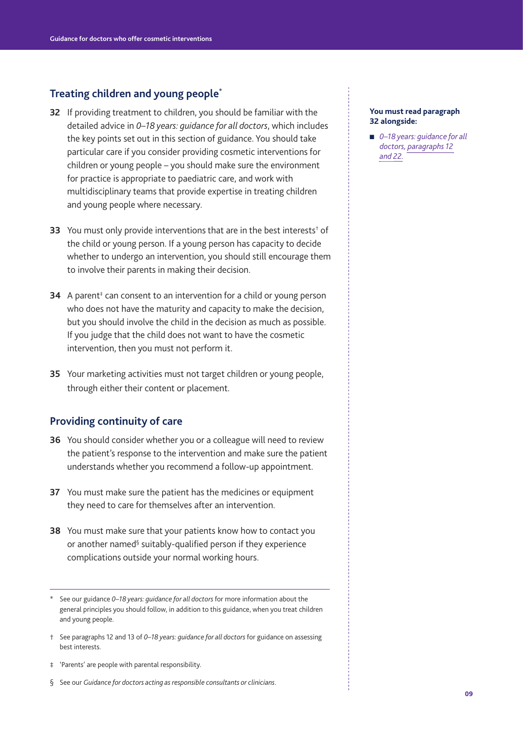## **Treating children and young people\***

- **32** If providing treatment to children, you should be familiar with the detailed advice in *0–18 years: guidance for all doctors*, which includes the key points set out in this section of guidance. You should take particular care if you consider providing cosmetic interventions for children or young people – you should make sure the environment for practice is appropriate to paediatric care, and work with multidisciplinary teams that provide expertise in treating children and young people where necessary.
- **33** You must only provide interventions that are in the best interests<sup>†</sup> of the child or young person. If a young person has capacity to decide whether to undergo an intervention, you should still encourage them to involve their parents in making their decision.
- **34** A parent<sup>‡</sup> can consent to an intervention for a child or young person who does not have the maturity and capacity to make the decision, but you should involve the child in the decision as much as possible. If you judge that the child does not want to have the cosmetic intervention, then you must not perform it.
- **35** Your marketing activities must not target children or young people, through either their content or placement.

## **Providing continuity of care**

- **36** You should consider whether you or a colleague will need to review the patient's response to the intervention and make sure the patient understands whether you recommend a follow-up appointment.
- **37** You must make sure the patient has the medicines or equipment they need to care for themselves after an intervention.
- **38** You must make sure that your patients know how to contact you or another named<sup>§</sup> suitably-qualified person if they experience complications outside your normal working hours.

- ‡ 'Parents' are people with parental responsibility.
- § See our *Guidance for doctors acting as responsible consultants or clinicians*.

#### **You must read paragraph 32 alongside:**

■ *[0–18 years: guidance for all](http://www.gmc-uk.org/static/documents/content/0-18_years_-_English_1015.pdf#page=9)  [doctors, paragraphs 12](http://www.gmc-uk.org/static/documents/content/0-18_years_-_English_1015.pdf#page=9)  [and 22.](http://www.gmc-uk.org/static/documents/content/0-18_years_-_English_1015.pdf#page=13)*

See our guidance 0–18 years: quidance for all doctors for more information about the general principles you should follow, in addition to this guidance, when you treat children and young people.

<sup>†</sup> See paragraphs 12 and 13 of *0–18 years: guidance for all doctors* for guidance on assessing best interests.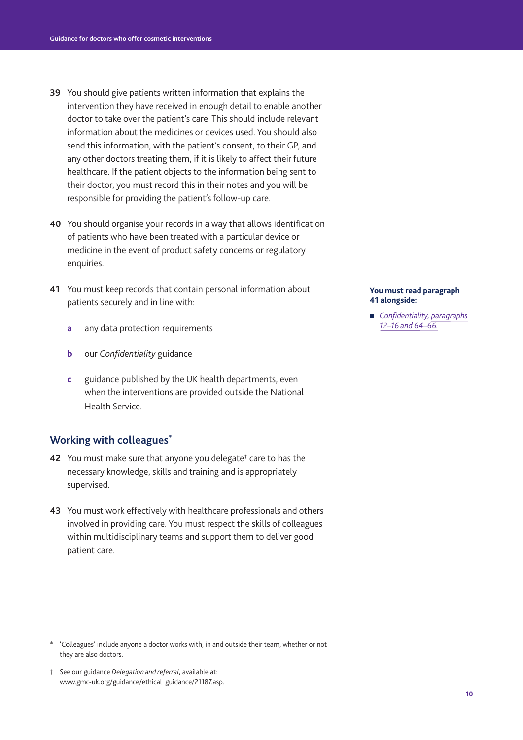- **39** You should give patients written information that explains the intervention they have received in enough detail to enable another doctor to take over the patient's care. This should include relevant information about the medicines or devices used. You should also send this information, with the patient's consent, to their GP, and any other doctors treating them, if it is likely to affect their future healthcare. If the patient objects to the information being sent to their doctor, you must record this in their notes and you will be responsible for providing the patient's follow-up care.
- **40** You should organise your records in a way that allows identification of patients who have been treated with a particular device or medicine in the event of product safety concerns or regulatory enquiries.
- **41** You must keep records that contain personal information about patients securely and in line with:
	- **a** any data protection requirements
	- **b** our *Confidentiality* guidance
	- **c** guidance published by the UK health departments, even when the interventions are provided outside the National Health Service.

# **Working with colleagues\***

- **42** You must make sure that anyone you delegate† care to has the necessary knowledge, skills and training and is appropriately supervised.
- **43** You must work effectively with healthcare professionals and others involved in providing care. You must respect the skills of colleagues within multidisciplinary teams and support them to deliver good patient care.

#### **You must read paragraph 41 alongside:**

■ *[Confidentiality, paragraphs](http://www.gmc-uk.org/static/documents/content/Confidentiality_-_English_1015.pdf#page=10)  [12–16](http://www.gmc-uk.org/static/documents/content/Confidentiality_-_English_1015.pdf#page=10) [and 64–66.](http://www.gmc-uk.org/static/documents/content/Confidentiality_-_English_1015.pdf#page=28)*

<sup>\*</sup> 'Colleagues' include anyone a doctor works with, in and outside their team, whether or not they are also doctors.

<sup>†</sup> See our guidance *Delegation and referral*, available at: [www.gmc-uk.org/guidance/ethical\\_guidance/21187.asp.](http://www.gmc-uk.org/guidance/ethical_guidance/21187.asp)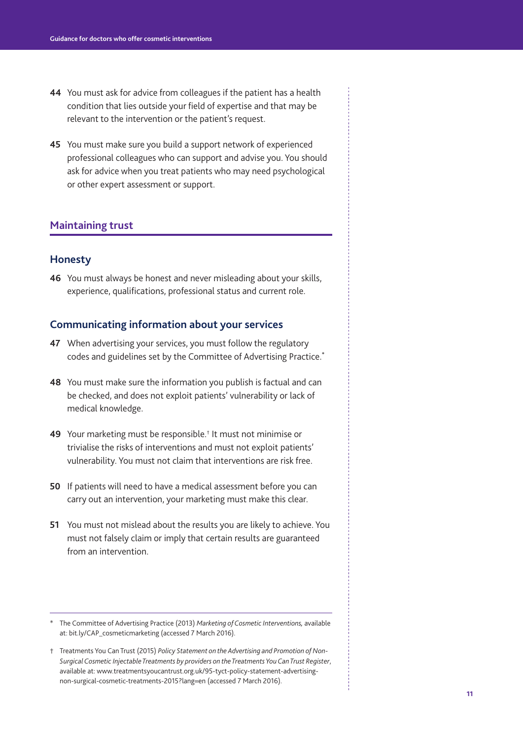- **44** You must ask for advice from colleagues if the patient has a health condition that lies outside your field of expertise and that may be relevant to the intervention or the patient's request.
- **45** You must make sure you build a support network of experienced professional colleagues who can support and advise you. You should ask for advice when you treat patients who may need psychological or other expert assessment or support.

# **Maintaining trust**

## **Honesty**

**46** You must always be honest and never misleading about your skills, experience, qualifications, professional status and current role.

# **Communicating information about your services**

- **47** When advertising your services, you must follow the regulatory codes and guidelines set by the Committee of Advertising Practice.**\***
- **48** You must make sure the information you publish is factual and can be checked, and does not exploit patients' vulnerability or lack of medical knowledge.
- **49** Your marketing must be responsible.† It must not minimise or trivialise the risks of interventions and must not exploit patients' vulnerability. You must not claim that interventions are risk free.
- **50** If patients will need to have a medical assessment before you can carry out an intervention, your marketing must make this clear.
- **51** You must not mislead about the results you are likely to achieve. You must not falsely claim or imply that certain results are guaranteed from an intervention.

<sup>\*</sup> The Committee of Advertising Practice (2013) *Marketing of Cosmetic Interventions,* available at: [bit.ly/CAP\\_cosmeticmarketing](http://www.cap.org.uk/~/media/Files/CAP/Help%20notes%20new/CosmeticSurgeryMarketingHelpNote.ashx) (accessed 7 March 2016).

<sup>†</sup> Treatments You Can Trust (2015) *Policy Statement on the Advertising and Promotion of Non-Surgical Cosmetic Injectable Treatments by providers on the Treatments You Can Trust Register*, available at: [www.treatmentsyoucantrust.org.uk/95-tyct-policy-statement-advertising](http://www.treatmentsyoucantrust.org.uk/95-tyct-policy-statement-advertising-non-surgical-cosmetic-treatments-2015?lang=en)[non-surgical-cosmetic-treatments-2015?lang=en](http://www.treatmentsyoucantrust.org.uk/95-tyct-policy-statement-advertising-non-surgical-cosmetic-treatments-2015?lang=en) (accessed 7 March 2016).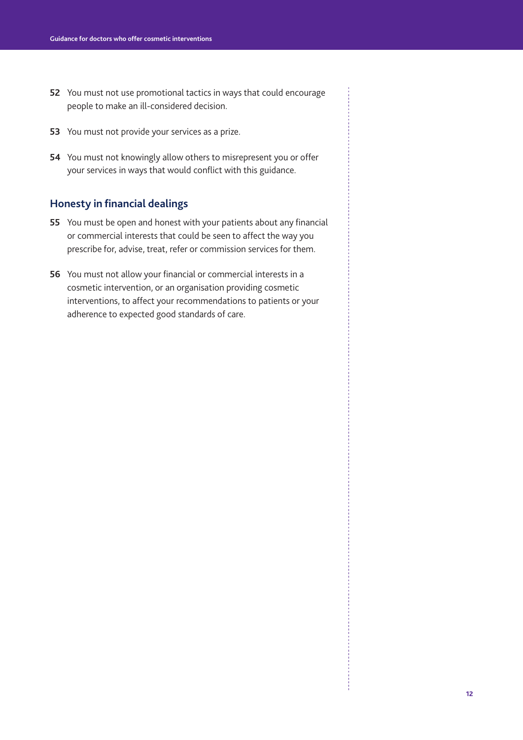- **52** You must not use promotional tactics in ways that could encourage people to make an ill-considered decision.
- **53** You must not provide your services as a prize.
- **54** You must not knowingly allow others to misrepresent you or offer your services in ways that would conflict with this guidance.

# **Honesty in financial dealings**

- **55** You must be open and honest with your patients about any financial or commercial interests that could be seen to affect the way you prescribe for, advise, treat, refer or commission services for them.
- **56** You must not allow your financial or commercial interests in a cosmetic intervention, or an organisation providing cosmetic interventions, to affect your recommendations to patients or your adherence to expected good standards of care.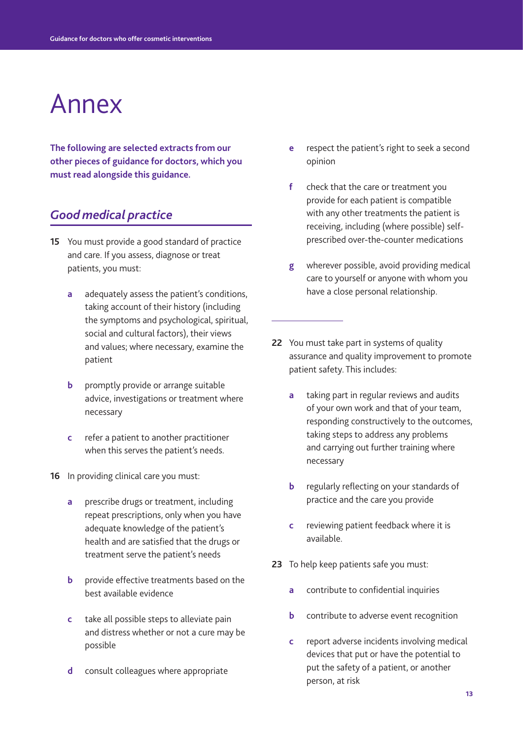# Annex

**The following are selected extracts from our other pieces of guidance for doctors, which you must read alongside this guidance.**

# *Good medical practice*

- **15** You must provide a good standard of practice and care. If you assess, diagnose or treat patients, you must:
	- **a** adequately assess the patient's conditions, taking account of their history (including the symptoms and psychological, spiritual, social and cultural factors), their views and values; where necessary, examine the patient
	- **b** promptly provide or arrange suitable advice, investigations or treatment where necessary
	- **c** refer a patient to another practitioner when this serves the patient's needs.
- **16** In providing clinical care you must:
	- **a** prescribe drugs or treatment, including repeat prescriptions, only when you have adequate knowledge of the patient's health and are satisfied that the drugs or treatment serve the patient's needs
	- **b** provide effective treatments based on the best available evidence
	- **c** take all possible steps to alleviate pain and distress whether or not a cure may be possible
	- **d** consult colleagues where appropriate
- **e** respect the patient's right to seek a second opinion
- **f** check that the care or treatment you provide for each patient is compatible with any other treatments the patient is receiving, including (where possible) selfprescribed over-the-counter medications
- **g** wherever possible, avoid providing medical care to yourself or anyone with whom you have a close personal relationship.
- **22** You must take part in systems of quality assurance and quality improvement to promote patient safety. This includes:

- **a** taking part in regular reviews and audits of your own work and that of your team, responding constructively to the outcomes, taking steps to address any problems and carrying out further training where necessary
- **b** regularly reflecting on your standards of practice and the care you provide
- **c** reviewing patient feedback where it is available.
- **23** To help keep patients safe you must:
	- **a** contribute to confidential inquiries
	- **b** contribute to adverse event recognition
	- **c** report adverse incidents involving medical devices that put or have the potential to put the safety of a patient, or another person, at risk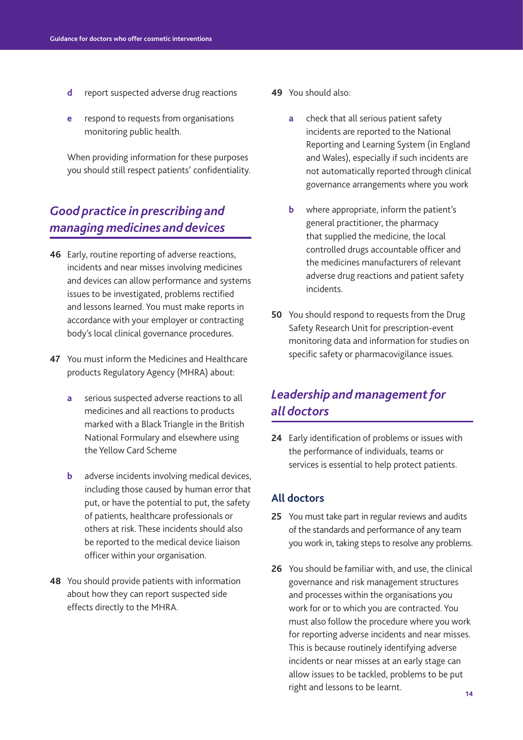- **d** report suspected adverse drug reactions
- **e** respond to requests from organisations monitoring public health.

When providing information for these purposes you should still respect patients' confidentiality.

# *Good practice in prescribing and managing medicines and devices*

- **46** Early, routine reporting of adverse reactions, incidents and near misses involving medicines and devices can allow performance and systems issues to be investigated, problems rectified and lessons learned. You must make reports in accordance with your employer or contracting body's local clinical governance procedures.
- **47** You must inform the Medicines and Healthcare products Regulatory Agency (MHRA) about:
	- **a** serious suspected adverse reactions to all medicines and all reactions to products marked with a Black Triangle in the British National Formulary and elsewhere using the Yellow Card Scheme
	- **b** adverse incidents involving medical devices, including those caused by human error that put, or have the potential to put, the safety of patients, healthcare professionals or others at risk. These incidents should also be reported to the medical device liaison officer within your organisation.
- **48** You should provide patients with information about how they can report suspected side effects directly to the MHRA.
- **49** You should also:
	- **a** check that all serious patient safety incidents are reported to the National Reporting and Learning System (in England and Wales), especially if such incidents are not automatically reported through clinical governance arrangements where you work
	- **b** where appropriate, inform the patient's general practitioner, the pharmacy that supplied the medicine, the local controlled drugs accountable officer and the medicines manufacturers of relevant adverse drug reactions and patient safety incidents.
- **50** You should respond to requests from the Drug Safety Research Unit for prescription-event monitoring data and information for studies on specific safety or pharmacovigilance issues.

# *Leadership and management for all doctors*

**24** Early identification of problems or issues with the performance of individuals, teams or services is essential to help protect patients.

# **All doctors**

- **25** You must take part in regular reviews and audits of the standards and performance of any team you work in, taking steps to resolve any problems.
- **26** You should be familiar with, and use, the clinical governance and risk management structures and processes within the organisations you work for or to which you are contracted. You must also follow the procedure where you work for reporting adverse incidents and near misses. This is because routinely identifying adverse incidents or near misses at an early stage can allow issues to be tackled, problems to be put right and lessons to be learnt.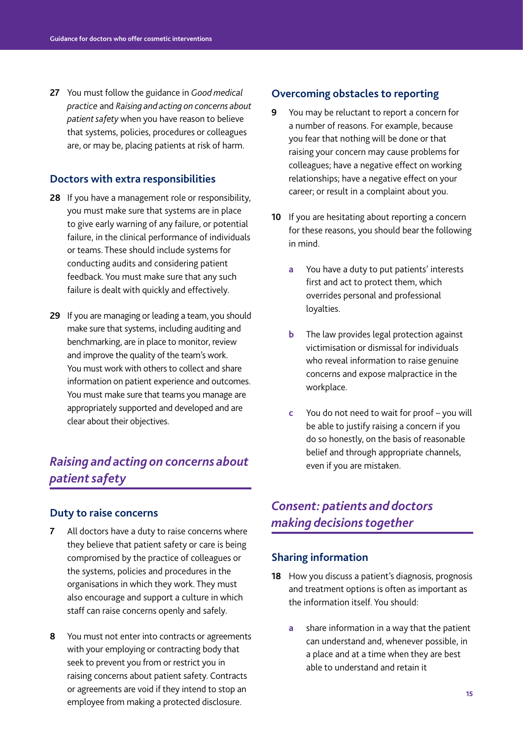**27** You must follow the guidance in *Good medical practice* and *Raising and acting on concerns about patient safety* when you have reason to believe that systems, policies, procedures or colleagues are, or may be, placing patients at risk of harm.

## **Doctors with extra responsibilities**

- **28** If you have a management role or responsibility, you must make sure that systems are in place to give early warning of any failure, or potential failure, in the clinical performance of individuals or teams. These should include systems for conducting audits and considering patient feedback. You must make sure that any such failure is dealt with quickly and effectively.
- **29** If you are managing or leading a team, you should make sure that systems, including auditing and benchmarking, are in place to monitor, review and improve the quality of the team's work. You must work with others to collect and share information on patient experience and outcomes. You must make sure that teams you manage are appropriately supported and developed and are clear about their objectives.

# *Raising and acting on concerns about patient safety*

### **Duty to raise concerns**

- **7** All doctors have a duty to raise concerns where they believe that patient safety or care is being compromised by the practice of colleagues or the systems, policies and procedures in the organisations in which they work. They must also encourage and support a culture in which staff can raise concerns openly and safely.
- **8** You must not enter into contracts or agreements with your employing or contracting body that seek to prevent you from or restrict you in raising concerns about patient safety. Contracts or agreements are void if they intend to stop an employee from making a protected disclosure.

## **Overcoming obstacles to reporting**

- **9** You may be reluctant to report a concern for a number of reasons. For example, because you fear that nothing will be done or that raising your concern may cause problems for colleagues; have a negative effect on working relationships; have a negative effect on your career; or result in a complaint about you.
- **10** If you are hesitating about reporting a concern for these reasons, you should bear the following in mind.
	- **a** You have a duty to put patients' interests first and act to protect them, which overrides personal and professional loyalties.
	- **b** The law provides legal protection against victimisation or dismissal for individuals who reveal information to raise genuine concerns and expose malpractice in the workplace.
	- **c** You do not need to wait for proof you will be able to justify raising a concern if you do so honestly, on the basis of reasonable belief and through appropriate channels, even if you are mistaken.

# *Consent: patients and doctors making decisions together*

### **Sharing information**

- **18** How you discuss a patient's diagnosis, prognosis and treatment options is often as important as the information itself. You should:
	- **a** share information in a way that the patient can understand and, whenever possible, in a place and at a time when they are best able to understand and retain it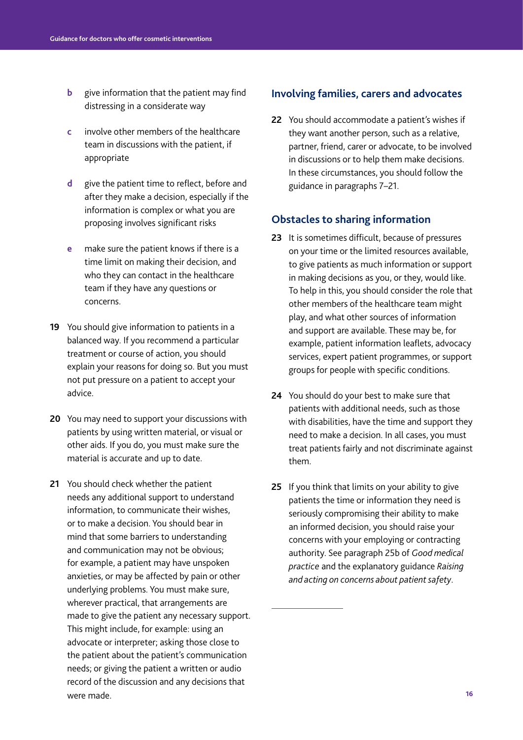- **b** give information that the patient may find distressing in a considerate way
- **c** involve other members of the healthcare team in discussions with the patient, if appropriate
- **d** give the patient time to reflect, before and after they make a decision, especially if the information is complex or what you are proposing involves significant risks
- **e** make sure the patient knows if there is a time limit on making their decision, and who they can contact in the healthcare team if they have any questions or concerns.
- **19** You should give information to patients in a balanced way. If you recommend a particular treatment or course of action, you should explain your reasons for doing so. But you must not put pressure on a patient to accept your advice.
- **20** You may need to support your discussions with patients by using written material, or visual or other aids. If you do, you must make sure the material is accurate and up to date.
- **21** You should check whether the patient needs any additional support to understand information, to communicate their wishes, or to make a decision. You should bear in mind that some barriers to understanding and communication may not be obvious; for example, a patient may have unspoken anxieties, or may be affected by pain or other underlying problems. You must make sure, wherever practical, that arrangements are made to give the patient any necessary support. This might include, for example: using an advocate or interpreter; asking those close to the patient about the patient's communication needs; or giving the patient a written or audio record of the discussion and any decisions that were made.

# **Involving families, carers and advocates**

**22** You should accommodate a patient's wishes if they want another person, such as a relative, partner, friend, carer or advocate, to be involved in discussions or to help them make decisions. In these circumstances, you should follow the guidance in paragraphs 7–21.

# **Obstacles to sharing information**

- **23** It is sometimes difficult, because of pressures on your time or the limited resources available, to give patients as much information or support in making decisions as you, or they, would like. To help in this, you should consider the role that other members of the healthcare team might play, and what other sources of information and support are available. These may be, for example, patient information leaflets, advocacy services, expert patient programmes, or support groups for people with specific conditions.
- **24** You should do your best to make sure that patients with additional needs, such as those with disabilities, have the time and support they need to make a decision. In all cases, you must treat patients fairly and not discriminate against them.
- **25** If you think that limits on your ability to give patients the time or information they need is seriously compromising their ability to make an informed decision, you should raise your concerns with your employing or contracting authority. See paragraph 25b of *Good medical practice* and the explanatory guidance *Raising and acting on concerns about patient safety*.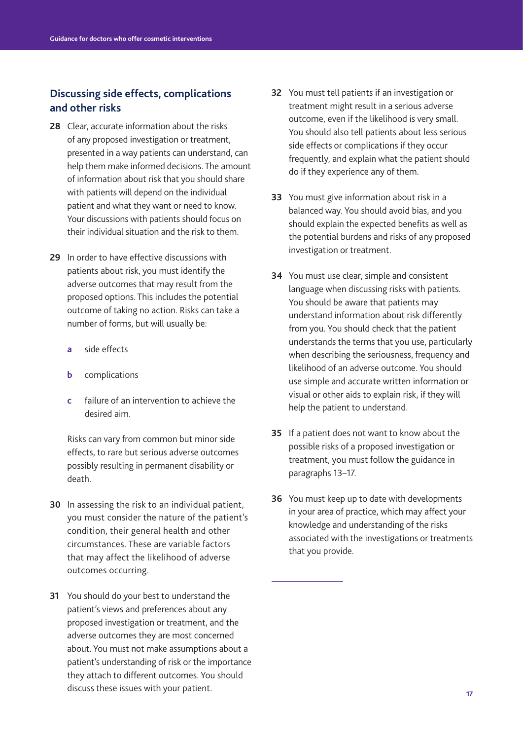# **Discussing side effects, complications and other risks**

- **28** Clear, accurate information about the risks of any proposed investigation or treatment, presented in a way patients can understand, can help them make informed decisions. The amount of information about risk that you should share with patients will depend on the individual patient and what they want or need to know. Your discussions with patients should focus on their individual situation and the risk to them.
- **29** In order to have effective discussions with patients about risk, you must identify the adverse outcomes that may result from the proposed options. This includes the potential outcome of taking no action. Risks can take a number of forms, but will usually be:
	- **a** side effects
	- **b** complications
	- **c** failure of an intervention to achieve the desired aim.

Risks can vary from common but minor side effects, to rare but serious adverse outcomes possibly resulting in permanent disability or death.

- **30** In assessing the risk to an individual patient, you must consider the nature of the patient's condition, their general health and other circumstances. These are variable factors that may affect the likelihood of adverse outcomes occurring.
- **31** You should do your best to understand the patient's views and preferences about any proposed investigation or treatment, and the adverse outcomes they are most concerned about. You must not make assumptions about a patient's understanding of risk or the importance they attach to different outcomes. You should discuss these issues with your patient.
- **32** You must tell patients if an investigation or treatment might result in a serious adverse outcome, even if the likelihood is very small. You should also tell patients about less serious side effects or complications if they occur frequently, and explain what the patient should do if they experience any of them.
- **33** You must give information about risk in a balanced way. You should avoid bias, and you should explain the expected benefits as well as the potential burdens and risks of any proposed investigation or treatment.
- **34** You must use clear, simple and consistent language when discussing risks with patients. You should be aware that patients may understand information about risk differently from you. You should check that the patient understands the terms that you use, particularly when describing the seriousness, frequency and likelihood of an adverse outcome. You should use simple and accurate written information or visual or other aids to explain risk, if they will help the patient to understand.
- **35** If a patient does not want to know about the possible risks of a proposed investigation or treatment, you must follow the guidance in paragraphs 13–17.
- **36** You must keep up to date with developments in your area of practice, which may affect your knowledge and understanding of the risks associated with the investigations or treatments that you provide.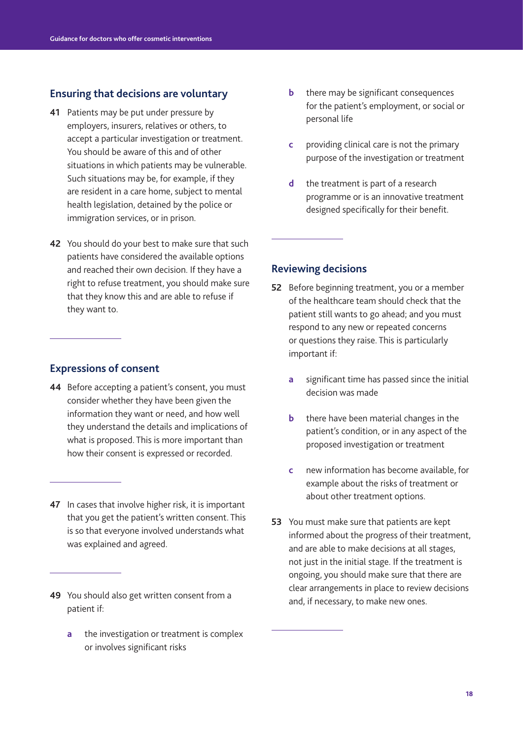## **Ensuring that decisions are voluntary**

- **41** Patients may be put under pressure by employers, insurers, relatives or others, to accept a particular investigation or treatment. You should be aware of this and of other situations in which patients may be vulnerable. Such situations may be, for example, if they are resident in a care home, subject to mental health legislation, detained by the police or immigration services, or in prison.
- **42** You should do your best to make sure that such patients have considered the available options and reached their own decision. If they have a right to refuse treatment, you should make sure that they know this and are able to refuse if they want to.

# **Expressions of consent**

**xxxxxxxxxxxxxxx**

**xxxxxxxxxxxxxxx**

**xxxxxxxxxxxxxxx**

- **44** Before accepting a patient's consent, you must consider whether they have been given the information they want or need, and how well they understand the details and implications of what is proposed. This is more important than how their consent is expressed or recorded.
- **47** In cases that involve higher risk, it is important that you get the patient's written consent. This is so that everyone involved understands what was explained and agreed.
- **49** You should also get written consent from a patient if:
	- **a** the investigation or treatment is complex or involves significant risks
- **b** there may be significant consequences for the patient's employment, or social or personal life
- **c** providing clinical care is not the primary purpose of the investigation or treatment
- **d** the treatment is part of a research programme or is an innovative treatment designed specifically for their benefit.

## **Reviewing decisions**

**xxxxxxxxxxxxxxx**

- **52** Before beginning treatment, you or a member of the healthcare team should check that the patient still wants to go ahead; and you must respond to any new or repeated concerns or questions they raise. This is particularly important if:
	- **a** significant time has passed since the initial decision was made
	- **b** there have been material changes in the patient's condition, or in any aspect of the proposed investigation or treatment
	- **c** new information has become available, for example about the risks of treatment or about other treatment options.
- **53** You must make sure that patients are kept informed about the progress of their treatment, and are able to make decisions at all stages, not just in the initial stage. If the treatment is ongoing, you should make sure that there are clear arrangements in place to review decisions and, if necessary, to make new ones.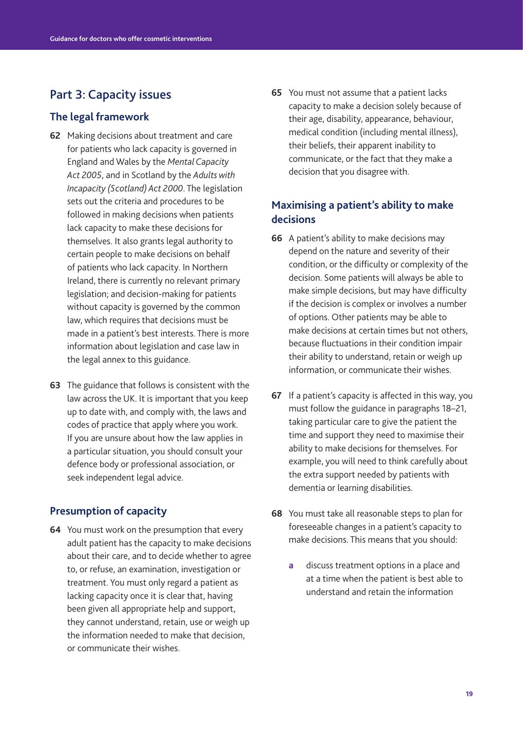# Part 3: Capacity issues

## **The legal framework**

- **62** Making decisions about treatment and care for patients who lack capacity is governed in England and Wales by the *Mental Capacity Act 2005*, and in Scotland by the *Adults with Incapacity (Scotland) Act 2000*. The legislation sets out the criteria and procedures to be followed in making decisions when patients lack capacity to make these decisions for themselves. It also grants legal authority to certain people to make decisions on behalf of patients who lack capacity. In Northern Ireland, there is currently no relevant primary legislation; and decision-making for patients without capacity is governed by the common law, which requires that decisions must be made in a patient's best interests. There is more information about legislation and case law in the legal annex to this guidance.
- **63** The guidance that follows is consistent with the law across the UK. It is important that you keep up to date with, and comply with, the laws and codes of practice that apply where you work. If you are unsure about how the law applies in a particular situation, you should consult your defence body or professional association, or seek independent legal advice.

# **Presumption of capacity**

**64** You must work on the presumption that every adult patient has the capacity to make decisions about their care, and to decide whether to agree to, or refuse, an examination, investigation or treatment. You must only regard a patient as lacking capacity once it is clear that, having been given all appropriate help and support, they cannot understand, retain, use or weigh up the information needed to make that decision, or communicate their wishes.

**65** You must not assume that a patient lacks capacity to make a decision solely because of their age, disability, appearance, behaviour, medical condition (including mental illness), their beliefs, their apparent inability to communicate, or the fact that they make a decision that you disagree with.

# **Maximising a patient's ability to make decisions**

- **66** A patient's ability to make decisions may depend on the nature and severity of their condition, or the difficulty or complexity of the decision. Some patients will always be able to make simple decisions, but may have difficulty if the decision is complex or involves a number of options. Other patients may be able to make decisions at certain times but not others, because fluctuations in their condition impair their ability to understand, retain or weigh up information, or communicate their wishes.
- **67** If a patient's capacity is affected in this way, you must follow the guidance in paragraphs 18–21, taking particular care to give the patient the time and support they need to maximise their ability to make decisions for themselves. For example, you will need to think carefully about the extra support needed by patients with dementia or learning disabilities.
- **68** You must take all reasonable steps to plan for foreseeable changes in a patient's capacity to make decisions. This means that you should:
	- **a** discuss treatment options in a place and at a time when the patient is best able to understand and retain the information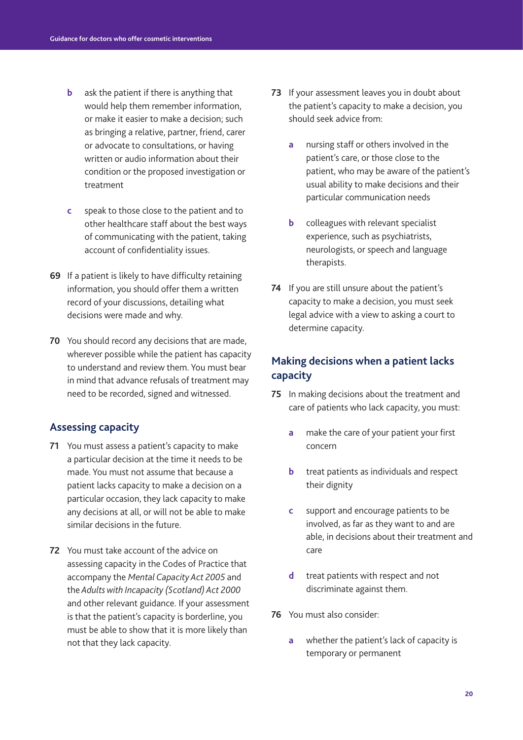- **b** ask the patient if there is anything that would help them remember information, or make it easier to make a decision; such as bringing a relative, partner, friend, carer or advocate to consultations, or having written or audio information about their condition or the proposed investigation or treatment
- **c** speak to those close to the patient and to other healthcare staff about the best ways of communicating with the patient, taking account of confidentiality issues.
- **69** If a patient is likely to have difficulty retaining information, you should offer them a written record of your discussions, detailing what decisions were made and why.
- **70** You should record any decisions that are made, wherever possible while the patient has capacity to understand and review them. You must bear in mind that advance refusals of treatment may need to be recorded, signed and witnessed.

# **Assessing capacity**

- **71** You must assess a patient's capacity to make a particular decision at the time it needs to be made. You must not assume that because a patient lacks capacity to make a decision on a particular occasion, they lack capacity to make any decisions at all, or will not be able to make similar decisions in the future.
- **72** You must take account of the advice on assessing capacity in the Codes of Practice that accompany the *Mental Capacity Act 2005* and the *Adults with Incapacity (Scotland) Act 2000*  and other relevant guidance. If your assessment is that the patient's capacity is borderline, you must be able to show that it is more likely than not that they lack capacity.
- **73** If your assessment leaves you in doubt about the patient's capacity to make a decision, you should seek advice from:
	- **a** nursing staff or others involved in the patient's care, or those close to the patient, who may be aware of the patient's usual ability to make decisions and their particular communication needs
	- **b** colleagues with relevant specialist experience, such as psychiatrists, neurologists, or speech and language therapists.
- **74** If you are still unsure about the patient's capacity to make a decision, you must seek legal advice with a view to asking a court to determine capacity.

# **Making decisions when a patient lacks capacity**

- **75** In making decisions about the treatment and care of patients who lack capacity, you must:
	- **a** make the care of your patient your first concern
	- **b** treat patients as individuals and respect their dignity
	- **c** support and encourage patients to be involved, as far as they want to and are able, in decisions about their treatment and care
	- **d** treat patients with respect and not discriminate against them.
- **76** You must also consider:
	- **a** whether the patient's lack of capacity is temporary or permanent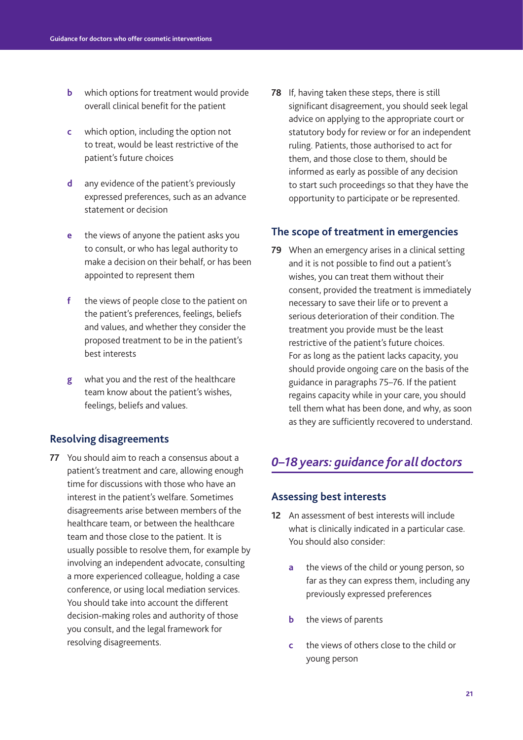- **b** which options for treatment would provide overall clinical benefit for the patient
- **c** which option, including the option not to treat, would be least restrictive of the patient's future choices
- **d** any evidence of the patient's previously expressed preferences, such as an advance statement or decision
- **e** the views of anyone the patient asks you to consult, or who has legal authority to make a decision on their behalf, or has been appointed to represent them
- **f** the views of people close to the patient on the patient's preferences, feelings, beliefs and values, and whether they consider the proposed treatment to be in the patient's best interests
- **g** what you and the rest of the healthcare team know about the patient's wishes, feelings, beliefs and values.

# **Resolving disagreements**

**77** You should aim to reach a consensus about a patient's treatment and care, allowing enough time for discussions with those who have an interest in the patient's welfare. Sometimes disagreements arise between members of the healthcare team, or between the healthcare team and those close to the patient. It is usually possible to resolve them, for example by involving an independent advocate, consulting a more experienced colleague, holding a case conference, or using local mediation services. You should take into account the different decision-making roles and authority of those you consult, and the legal framework for resolving disagreements.

**78** If, having taken these steps, there is still significant disagreement, you should seek legal advice on applying to the appropriate court or statutory body for review or for an independent ruling. Patients, those authorised to act for them, and those close to them, should be informed as early as possible of any decision to start such proceedings so that they have the opportunity to participate or be represented.

# **The scope of treatment in emergencies**

**79** When an emergency arises in a clinical setting and it is not possible to find out a patient's wishes, you can treat them without their consent, provided the treatment is immediately necessary to save their life or to prevent a serious deterioration of their condition. The treatment you provide must be the least restrictive of the patient's future choices. For as long as the patient lacks capacity, you should provide ongoing care on the basis of the guidance in paragraphs 75–76. If the patient regains capacity while in your care, you should tell them what has been done, and why, as soon as they are sufficiently recovered to understand.

# *0–18 years: guidance for all doctors*

# **Assessing best interests**

- **12** An assessment of best interests will include what is clinically indicated in a particular case. You should also consider:
	- **a** the views of the child or young person, so far as they can express them, including any previously expressed preferences
	- **b** the views of parents
	- **c** the views of others close to the child or young person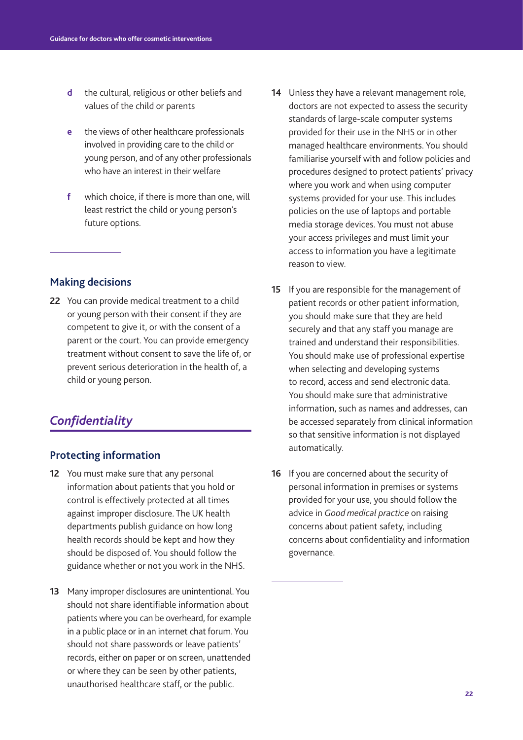- **d** the cultural, religious or other beliefs and values of the child or parents
- **e** the views of other healthcare professionals involved in providing care to the child or young person, and of any other professionals who have an interest in their welfare
- **f** which choice, if there is more than one, will least restrict the child or young person's future options.

# **Making decisions**

**xxxxxxxxxxxxxxx**

**22** You can provide medical treatment to a child or young person with their consent if they are competent to give it, or with the consent of a parent or the court. You can provide emergency treatment without consent to save the life of, or prevent serious deterioration in the health of, a child or young person.

# *Confidentiality*

# **Protecting information**

- **12** You must make sure that any personal information about patients that you hold or control is effectively protected at all times against improper disclosure. The UK health departments publish guidance on how long health records should be kept and how they should be disposed of. You should follow the guidance whether or not you work in the NHS.
- **13** Many improper disclosures are unintentional. You should not share identifiable information about patients where you can be overheard, for example in a public place or in an internet chat forum. You should not share passwords or leave patients' records, either on paper or on screen, unattended or where they can be seen by other patients, unauthorised healthcare staff, or the public.
- **14** Unless they have a relevant management role, doctors are not expected to assess the security standards of large-scale computer systems provided for their use in the NHS or in other managed healthcare environments. You should familiarise yourself with and follow policies and procedures designed to protect patients' privacy where you work and when using computer systems provided for your use. This includes policies on the use of laptops and portable media storage devices. You must not abuse your access privileges and must limit your access to information you have a legitimate reason to view.
- **15** If you are responsible for the management of patient records or other patient information, you should make sure that they are held securely and that any staff you manage are trained and understand their responsibilities. You should make use of professional expertise when selecting and developing systems to record, access and send electronic data. You should make sure that administrative information, such as names and addresses, can be accessed separately from clinical information so that sensitive information is not displayed automatically.
- **16** If you are concerned about the security of personal information in premises or systems provided for your use, you should follow the advice in *Good medical practice* on raising concerns about patient safety, including concerns about confidentiality and information governance.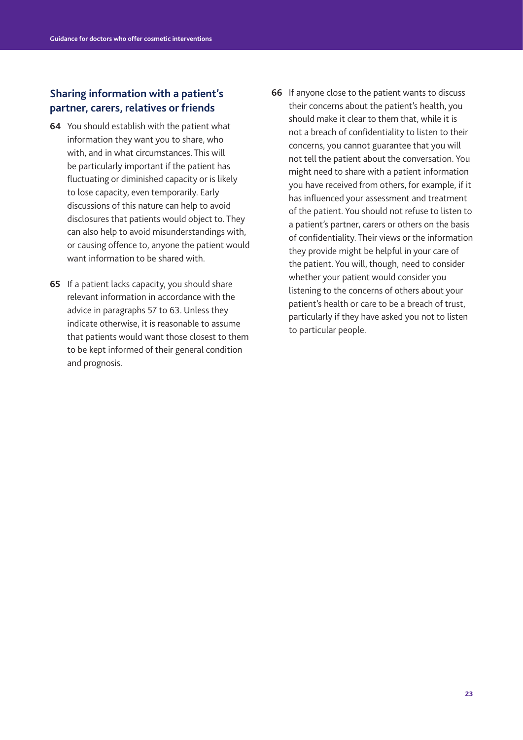# **Sharing information with a patient's partner, carers, relatives or friends**

- **64** You should establish with the patient what information they want you to share, who with, and in what circumstances. This will be particularly important if the patient has fluctuating or diminished capacity or is likely to lose capacity, even temporarily. Early discussions of this nature can help to avoid disclosures that patients would object to. They can also help to avoid misunderstandings with, or causing offence to, anyone the patient would want information to be shared with.
- **65** If a patient lacks capacity, you should share relevant information in accordance with the advice in paragraphs 57 to 63. Unless they indicate otherwise, it is reasonable to assume that patients would want those closest to them to be kept informed of their general condition and prognosis.
- **66** If anyone close to the patient wants to discuss their concerns about the patient's health, you should make it clear to them that, while it is not a breach of confidentiality to listen to their concerns, you cannot guarantee that you will not tell the patient about the conversation. You might need to share with a patient information you have received from others, for example, if it has influenced your assessment and treatment of the patient. You should not refuse to listen to a patient's partner, carers or others on the basis of confidentiality. Their views or the information they provide might be helpful in your care of the patient. You will, though, need to consider whether your patient would consider you listening to the concerns of others about your patient's health or care to be a breach of trust, particularly if they have asked you not to listen to particular people.